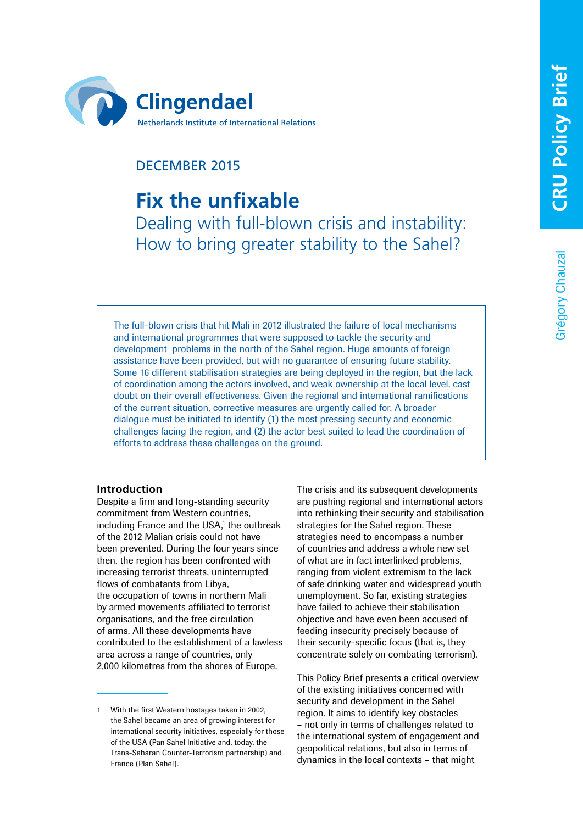Grégory Chauzal

Grégory Chauzal



# DECEMBER 2015

# **Fix the unfixable**

Dealing with full-blown crisis and instability: How to bring greater stability to the Sahel?

The full-blown crisis that hit Mali in 2012 illustrated the failure of local mechanisms and international programmes that were supposed to tackle the security and development problems in the north of the Sahel region. Huge amounts of foreign assistance have been provided, but with no guarantee of ensuring future stability. Some 16 different stabilisation strategies are being deployed in the region, but the lack of coordination among the actors involved, and weak ownership at the local level, cast doubt on their overall effectiveness. Given the regional and international ramifications of the current situation, corrective measures are urgently called for. A broader dialogue must be initiated to identify (1) the most pressing security and economic challenges facing the region, and (2) the actor best suited to lead the coordination of efforts to address these challenges on the ground.

## **Introduction**

Despite a firm and long-standing security commitment from Western countries, including France and the USA,<sup>1</sup> the outbreak of the 2012 Malian crisis could not have been prevented. During the four years since then, the region has been confronted with increasing terrorist threats, uninterrupted flows of combatants from Libya, the occupation of towns in northern Mali by armed movements affiliated to terrorist organisations, and the free circulation of arms. All these developments have contributed to the establishment of a lawless area across a range of countries, only 2,000 kilometres from the shores of Europe.

The crisis and its subsequent developments are pushing regional and international actors into rethinking their security and stabilisation strategies for the Sahel region. These strategies need to encompass a number of countries and address a whole new set of what are in fact interlinked problems, ranging from violent extremism to the lack of safe drinking water and widespread youth unemployment. So far, existing strategies have failed to achieve their stabilisation objective and have even been accused of feeding insecurity precisely because of their security-specific focus (that is, they concentrate solely on combating terrorism).

This Policy Brief presents a critical overview of the existing initiatives concerned with security and development in the Sahel region. It aims to identify key obstacles – not only in terms of challenges related to the international system of engagement and geopolitical relations, but also in terms of dynamics in the local contexts – that might

<sup>1</sup> With the first Western hostages taken in 2002, the Sahel became an area of growing interest for international security initiatives, especially for those of the USA (Pan Sahel Initiative and, today, the Trans-Saharan Counter-Terrorism partnership) and France (Plan Sahel).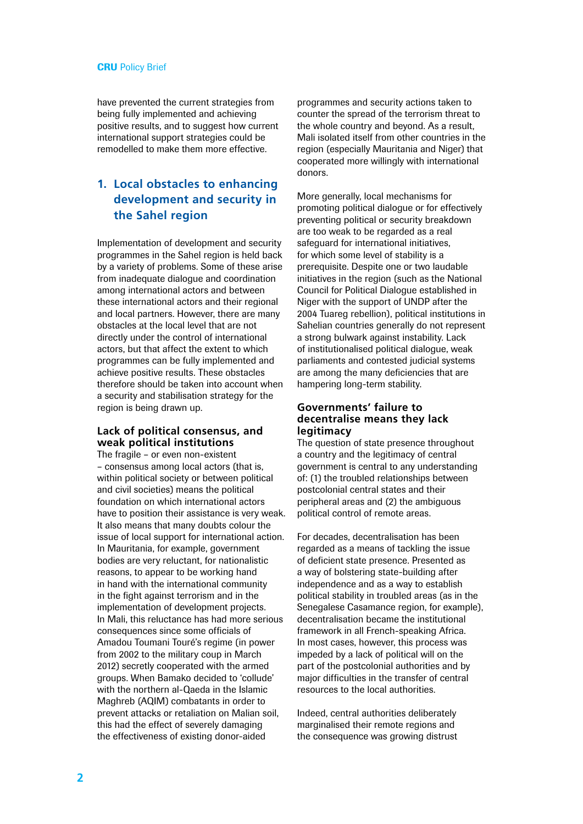have prevented the current strategies from being fully implemented and achieving positive results, and to suggest how current international support strategies could be remodelled to make them more effective.

# **1. Local obstacles to enhancing development and security in the Sahel region**

Implementation of development and security programmes in the Sahel region is held back by a variety of problems. Some of these arise from inadequate dialogue and coordination among international actors and between these international actors and their regional and local partners. However, there are many obstacles at the local level that are not directly under the control of international actors, but that affect the extent to which programmes can be fully implemented and achieve positive results. These obstacles therefore should be taken into account when a security and stabilisation strategy for the region is being drawn up.

#### **Lack of political consensus, and weak political institutions**

The fragile – or even non-existent – consensus among local actors (that is, within political society or between political and civil societies) means the political foundation on which international actors have to position their assistance is very weak. It also means that many doubts colour the issue of local support for international action. In Mauritania, for example, government bodies are very reluctant, for nationalistic reasons, to appear to be working hand in hand with the international community in the fight against terrorism and in the implementation of development projects. In Mali, this reluctance has had more serious consequences since some officials of Amadou Toumani Touré's regime (in power from 2002 to the military coup in March 2012) secretly cooperated with the armed groups. When Bamako decided to 'collude' with the northern al-Qaeda in the Islamic Maghreb (AQIM) combatants in order to prevent attacks or retaliation on Malian soil, this had the effect of severely damaging the effectiveness of existing donor-aided

programmes and security actions taken to counter the spread of the terrorism threat to the whole country and beyond. As a result, Mali isolated itself from other countries in the region (especially Mauritania and Niger) that cooperated more willingly with international donors.

More generally, local mechanisms for promoting political dialogue or for effectively preventing political or security breakdown are too weak to be regarded as a real safeguard for international initiatives. for which some level of stability is a prerequisite. Despite one or two laudable initiatives in the region (such as the National Council for Political Dialogue established in Niger with the support of UNDP after the 2004 Tuareg rebellion), political institutions in Sahelian countries generally do not represent a strong bulwark against instability. Lack of institutionalised political dialogue, weak parliaments and contested judicial systems are among the many deficiencies that are hampering long-term stability.

#### **Governments' failure to decentralise means they lack legitimacy**

The question of state presence throughout a country and the legitimacy of central government is central to any understanding of: (1) the troubled relationships between postcolonial central states and their peripheral areas and (2) the ambiguous political control of remote areas.

For decades, decentralisation has been regarded as a means of tackling the issue of deficient state presence. Presented as a way of bolstering state-building after independence and as a way to establish political stability in troubled areas (as in the Senegalese Casamance region, for example). decentralisation became the institutional framework in all French-speaking Africa. In most cases, however, this process was impeded by a lack of political will on the part of the postcolonial authorities and by major difficulties in the transfer of central resources to the local authorities.

Indeed, central authorities deliberately marginalised their remote regions and the consequence was growing distrust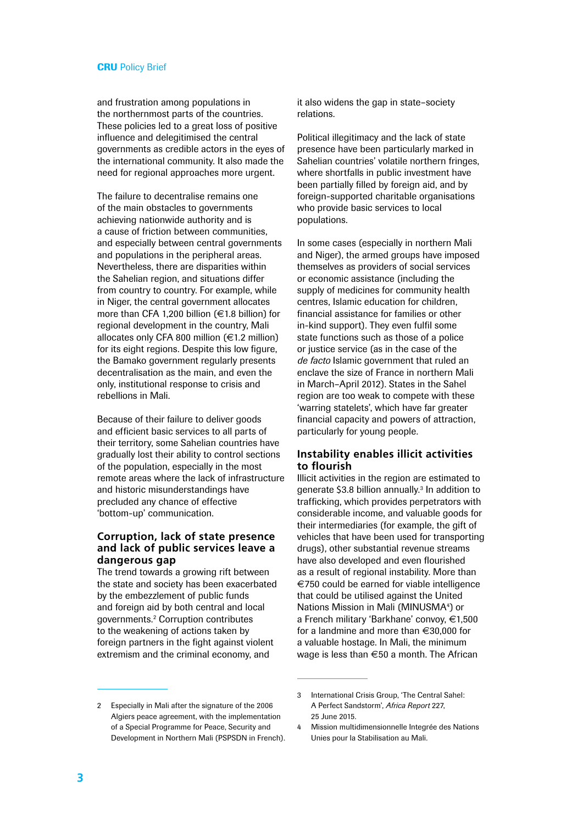and frustration among populations in the northernmost parts of the countries. These policies led to a great loss of positive influence and delegitimised the central governments as credible actors in the eyes of the international community. It also made the need for regional approaches more urgent.

The failure to decentralise remains one of the main obstacles to governments achieving nationwide authority and is a cause of friction between communities, and especially between central governments and populations in the peripheral areas. Nevertheless, there are disparities within the Sahelian region, and situations differ from country to country. For example, while in Niger, the central government allocates more than CFA 1,200 billion (€1.8 billion) for regional development in the country, Mali allocates only CFA 800 million (€1.2 million) for its eight regions. Despite this low figure, the Bamako government regularly presents decentralisation as the main, and even the only, institutional response to crisis and rebellions in Mali.

Because of their failure to deliver goods and efficient basic services to all parts of their territory, some Sahelian countries have gradually lost their ability to control sections of the population, especially in the most remote areas where the lack of infrastructure and historic misunderstandings have precluded any chance of effective 'bottom-up' communication.

#### **Corruption, lack of state presence and lack of public services leave a dangerous gap**

The trend towards a growing rift between the state and society has been exacerbated by the embezzlement of public funds and foreign aid by both central and local governments.2 Corruption contributes to the weakening of actions taken by foreign partners in the fight against violent extremism and the criminal economy, and

it also widens the gap in state–society relations.

Political illegitimacy and the lack of state presence have been particularly marked in Sahelian countries' volatile northern fringes, where shortfalls in public investment have been partially filled by foreign aid, and by foreign-supported charitable organisations who provide basic services to local populations.

In some cases (especially in northern Mali and Niger), the armed groups have imposed themselves as providers of social services or economic assistance (including the supply of medicines for community health centres, Islamic education for children, financial assistance for families or other in-kind support). They even fulfil some state functions such as those of a police or justice service (as in the case of the *de facto* Islamic government that ruled an enclave the size of France in northern Mali in March–April 2012). States in the Sahel region are too weak to compete with these 'warring statelets', which have far greater financial capacity and powers of attraction, particularly for young people.

## **Instability enables illicit activities to flourish**

Illicit activities in the region are estimated to generate \$3.8 billion annually.<sup>3</sup> In addition to trafficking, which provides perpetrators with considerable income, and valuable goods for their intermediaries (for example, the gift of vehicles that have been used for transporting drugs), other substantial revenue streams have also developed and even flourished as a result of regional instability. More than €750 could be earned for viable intelligence that could be utilised against the United Nations Mission in Mali (MINUSMA<sup>4</sup>) or a French military 'Barkhane' convoy, €1,500 for a landmine and more than €30,000 for a valuable hostage. In Mali, the minimum wage is less than €50 a month. The African

<sup>2</sup> Especially in Mali after the signature of the 2006 Algiers peace agreement, with the implementation of a Special Programme for Peace, Security and Development in Northern Mali (PSPSDN in French).

<sup>3</sup> International Crisis Group, 'The Central Sahel: A Perfect Sandstorm', *Africa Report* 227, 25 June 2015.

<sup>4</sup> Mission multidimensionnelle Integrée des Nations Unies pour la Stabilisation au Mali.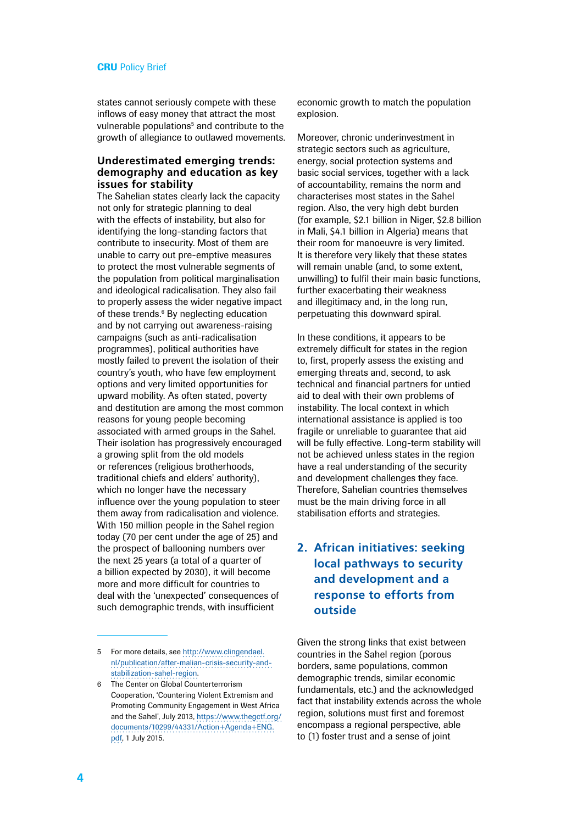states cannot seriously compete with these inflows of easy money that attract the most vulnerable populations<sup>5</sup> and contribute to the growth of allegiance to outlawed movements.

#### **Underestimated emerging trends: demography and education as key issues for stability**

The Sahelian states clearly lack the capacity not only for strategic planning to deal with the effects of instability, but also for identifying the long-standing factors that contribute to insecurity. Most of them are unable to carry out pre-emptive measures to protect the most vulnerable segments of the population from political marginalisation and ideological radicalisation. They also fail to properly assess the wider negative impact of these trends.<sup>6</sup> By neglecting education and by not carrying out awareness-raising campaigns (such as anti-radicalisation programmes), political authorities have mostly failed to prevent the isolation of their country's youth, who have few employment options and very limited opportunities for upward mobility. As often stated, poverty and destitution are among the most common reasons for young people becoming associated with armed groups in the Sahel. Their isolation has progressively encouraged a growing split from the old models or references (religious brotherhoods, traditional chiefs and elders' authority), which no longer have the necessary influence over the young population to steer them away from radicalisation and violence. With 150 million people in the Sahel region today (70 per cent under the age of 25) and the prospect of ballooning numbers over the next 25 years (a total of a quarter of a billion expected by 2030), it will become more and more difficult for countries to deal with the 'unexpected' consequences of such demographic trends, with insufficient

economic growth to match the population explosion.

Moreover, chronic underinvestment in strategic sectors such as agriculture, energy, social protection systems and basic social services, together with a lack of accountability, remains the norm and characterises most states in the Sahel region. Also, the very high debt burden (for example, \$2.1 billion in Niger, \$2.8 billion in Mali, \$4.1 billion in Algeria) means that their room for manoeuvre is very limited. It is therefore very likely that these states will remain unable (and, to some extent, unwilling) to fulfil their main basic functions, further exacerbating their weakness and illegitimacy and, in the long run, perpetuating this downward spiral.

In these conditions, it appears to be extremely difficult for states in the region to, first, properly assess the existing and emerging threats and, second, to ask technical and financial partners for untied aid to deal with their own problems of instability. The local context in which international assistance is applied is too fragile or unreliable to guarantee that aid will be fully effective. Long-term stability will not be achieved unless states in the region have a real understanding of the security and development challenges they face. Therefore, Sahelian countries themselves must be the main driving force in all stabilisation efforts and strategies.

# **2. African initiatives: seeking local pathways to security and development and a response to efforts from outside**

Given the strong links that exist between countries in the Sahel region (porous borders, same populations, common demographic trends, similar economic fundamentals, etc.) and the acknowledged fact that instability extends across the whole region, solutions must first and foremost encompass a regional perspective, able to (1) foster trust and a sense of joint

<sup>5</sup> For more details, see [http://www.clingendael.](http://www.clingendael.nl/publication/after-malian-crisis-security-and-stabilization-sahel-region) [nl/publication/after-malian-crisis-security-and](http://www.clingendael.nl/publication/after-malian-crisis-security-and-stabilization-sahel-region)[stabilization-sahel-region](http://www.clingendael.nl/publication/after-malian-crisis-security-and-stabilization-sahel-region).

<sup>6</sup> The Center on Global Counterterrorism Cooperation, 'Countering Violent Extremism and Promoting Community Engagement in West Africa and the Sahel', July 2013, [https://www.thegctf.org/](https://www.thegctf.org/documents/10299/44331/Action+Agenda+ENG.pdf) [documents/10299/44331/Action+Agenda+ENG.](https://www.thegctf.org/documents/10299/44331/Action+Agenda+ENG.pdf) [pdf,](https://www.thegctf.org/documents/10299/44331/Action+Agenda+ENG.pdf) 1 July 2015.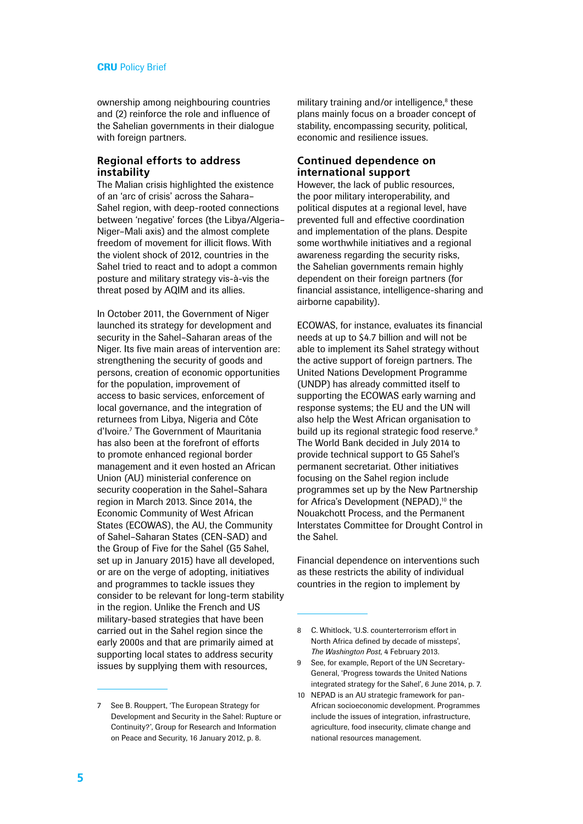ownership among neighbouring countries and (2) reinforce the role and influence of the Sahelian governments in their dialogue with foreign partners.

### **Regional efforts to address instability**

The Malian crisis highlighted the existence of an 'arc of crisis' across the Sahara– Sahel region, with deep-rooted connections between 'negative' forces (the Libya/Algeria– Niger–Mali axis) and the almost complete freedom of movement for illicit flows. With the violent shock of 2012, countries in the Sahel tried to react and to adopt a common posture and military strategy vis-à-vis the threat posed by AQIM and its allies.

In October 2011, the Government of Niger launched its strategy for development and security in the Sahel–Saharan areas of the Niger. Its five main areas of intervention are: strengthening the security of goods and persons, creation of economic opportunities for the population, improvement of access to basic services, enforcement of local governance, and the integration of returnees from Libya, Nigeria and Côte d'Ivoire.7 The Government of Mauritania has also been at the forefront of efforts to promote enhanced regional border management and it even hosted an African Union (AU) ministerial conference on security cooperation in the Sahel–Sahara region in March 2013. Since 2014, the Economic Community of West African States (ECOWAS), the AU, the Community of Sahel–Saharan States (CEN-SAD) and the Group of Five for the Sahel (G5 Sahel, set up in January 2015) have all developed, or are on the verge of adopting, initiatives and programmes to tackle issues they consider to be relevant for long-term stability in the region. Unlike the French and US military-based strategies that have been carried out in the Sahel region since the early 2000s and that are primarily aimed at supporting local states to address security issues by supplying them with resources,

7 See B. Rouppert, 'The European Strategy for Development and Security in the Sahel: Rupture or Continuity?', Group for Research and Information on Peace and Security, 16 January 2012, p. 8.

military training and/or intelligence,<sup>8</sup> these plans mainly focus on a broader concept of stability, encompassing security, political, economic and resilience issues.

## **Continued dependence on international support**

However, the lack of public resources, the poor military interoperability, and political disputes at a regional level, have prevented full and effective coordination and implementation of the plans. Despite some worthwhile initiatives and a regional awareness regarding the security risks, the Sahelian governments remain highly dependent on their foreign partners (for financial assistance, intelligence-sharing and airborne capability).

ECOWAS, for instance, evaluates its financial needs at up to \$4.7 billion and will not be able to implement its Sahel strategy without the active support of foreign partners. The United Nations Development Programme (UNDP) has already committed itself to supporting the ECOWAS early warning and response systems; the EU and the UN will also help the West African organisation to build up its regional strategic food reserve.<sup>9</sup> The World Bank decided in July 2014 to provide technical support to G5 Sahel's permanent secretariat. Other initiatives focusing on the Sahel region include programmes set up by the New Partnership for Africa's Development (NEPAD),<sup>10</sup> the Nouakchott Process, and the Permanent Interstates Committee for Drought Control in the Sahel.

Financial dependence on interventions such as these restricts the ability of individual countries in the region to implement by

- 9 See, for example, Report of the UN Secretary-General, 'Progress towards the United Nations integrated strategy for the Sahel', 6 June 2014, p. 7.
- 10 NEPAD is an AU strategic framework for pan-African socioeconomic development. Programmes include the issues of integration, infrastructure, agriculture, food insecurity, climate change and national resources management.

<sup>8</sup> C. Whitlock, 'U.S. counterterrorism effort in North Africa defined by decade of missteps', *The Washington Post*, 4 February 2013.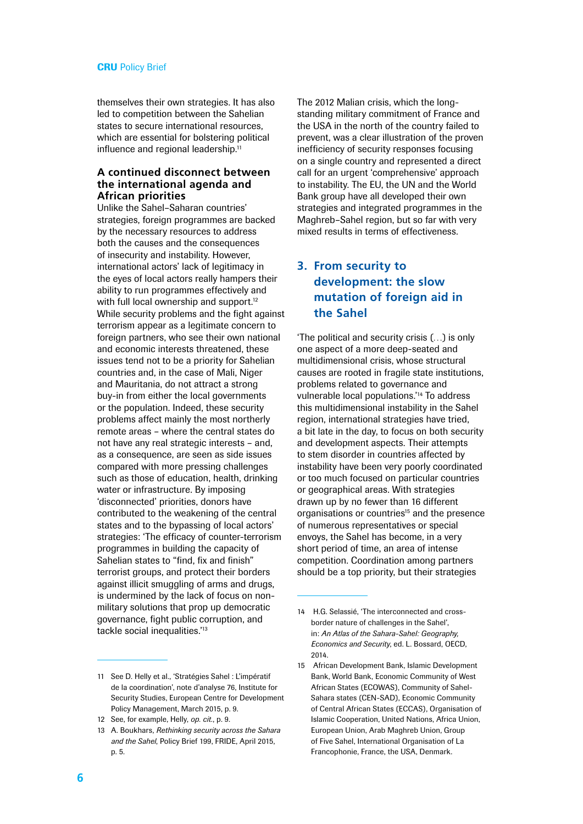themselves their own strategies. It has also led to competition between the Sahelian states to secure international resources, which are essential for bolstering political influence and regional leadership.<sup>11</sup>

#### **A continued disconnect between the international agenda and African priorities**

Unlike the Sahel–Saharan countries' strategies, foreign programmes are backed by the necessary resources to address both the causes and the consequences of insecurity and instability. However, international actors' lack of legitimacy in the eyes of local actors really hampers their ability to run programmes effectively and with full local ownership and support.<sup>12</sup> While security problems and the fight against terrorism appear as a legitimate concern to foreign partners, who see their own national and economic interests threatened, these issues tend not to be a priority for Sahelian countries and, in the case of Mali, Niger and Mauritania, do not attract a strong buy-in from either the local governments or the population. Indeed, these security problems affect mainly the most northerly remote areas – where the central states do not have any real strategic interests – and, as a consequence, are seen as side issues compared with more pressing challenges such as those of education, health, drinking water or infrastructure. By imposing 'disconnected' priorities, donors have contributed to the weakening of the central states and to the bypassing of local actors' strategies: 'The efficacy of counter-terrorism programmes in building the capacity of Sahelian states to "find, fix and finish" terrorist groups, and protect their borders against illicit smuggling of arms and drugs, is undermined by the lack of focus on nonmilitary solutions that prop up democratic governance, fight public corruption, and tackle social inequalities.<sup>'13</sup>

The 2012 Malian crisis, which the longstanding military commitment of France and the USA in the north of the country failed to prevent, was a clear illustration of the proven inefficiency of security responses focusing on a single country and represented a direct call for an urgent 'comprehensive' approach to instability. The EU, the UN and the World Bank group have all developed their own strategies and integrated programmes in the Maghreb–Sahel region, but so far with very mixed results in terms of effectiveness.

# **3. From security to development: the slow mutation of foreign aid in the Sahel**

'The political and security crisis (…) is only one aspect of a more deep-seated and multidimensional crisis, whose structural causes are rooted in fragile state institutions, problems related to governance and vulnerable local populations.'14 To address this multidimensional instability in the Sahel region, international strategies have tried, a bit late in the day, to focus on both security and development aspects. Their attempts to stem disorder in countries affected by instability have been very poorly coordinated or too much focused on particular countries or geographical areas. With strategies drawn up by no fewer than 16 different organisations or countries<sup>15</sup> and the presence of numerous representatives or special envoys, the Sahel has become, in a very short period of time, an area of intense competition. Coordination among partners should be a top priority, but their strategies

<sup>11</sup> See D. Helly et al., 'Stratégies Sahel : L'impératif de la coordination', note d'analyse 76, Institute for Security Studies, European Centre for Development Policy Management, March 2015, p. 9.

<sup>12</sup> See, for example, Helly, *op. cit.*, p. 9.

<sup>13</sup> A. Boukhars, *Rethinking security across the Sahara and the Sahel*, Policy Brief 199, FRIDE, April 2015, p. 5.

<sup>14</sup> H.G. Selassié, 'The interconnected and crossborder nature of challenges in the Sahel', in: *An Atlas of the Sahara-Sahel: Geography, Economics and Security*, ed. L. Bossard, OECD, 2014.

<sup>15</sup> African Development Bank, Islamic Development Bank, World Bank, Economic Community of West African States (ECOWAS), Community of Sahel-Sahara states (CEN-SAD), Economic Community of Central African States (ECCAS), Organisation of Islamic Cooperation, United Nations, Africa Union, European Union, Arab Maghreb Union, Group of Five Sahel, International Organisation of La Francophonie, France, the USA, Denmark.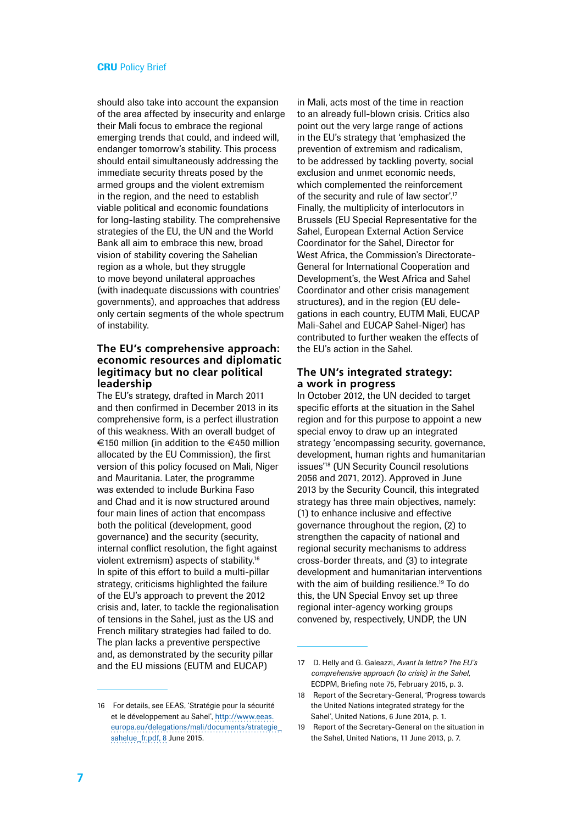should also take into account the expansion of the area affected by insecurity and enlarge their Mali focus to embrace the regional emerging trends that could, and indeed will, endanger tomorrow's stability. This process should entail simultaneously addressing the immediate security threats posed by the armed groups and the violent extremism in the region, and the need to establish viable political and economic foundations for long-lasting stability. The comprehensive strategies of the EU, the UN and the World Bank all aim to embrace this new, broad vision of stability covering the Sahelian region as a whole, but they struggle to move beyond unilateral approaches (with inadequate discussions with countries' governments), and approaches that address only certain segments of the whole spectrum of instability.

#### **The EU's comprehensive approach: economic resources and diplomatic legitimacy but no clear political leadership**

The EU's strategy, drafted in March 2011 and then confirmed in December 2013 in its comprehensive form, is a perfect illustration of this weakness. With an overall budget of €150 million (in addition to the €450 million allocated by the EU Commission), the first version of this policy focused on Mali, Niger and Mauritania. Later, the programme was extended to include Burkina Faso and Chad and it is now structured around four main lines of action that encompass both the political (development, good governance) and the security (security, internal conflict resolution, the fight against violent extremism) aspects of stability.16 In spite of this effort to build a multi-pillar strategy, criticisms highlighted the failure of the EU's approach to prevent the 2012 crisis and, later, to tackle the regionalisation of tensions in the Sahel, just as the US and French military strategies had failed to do. The plan lacks a preventive perspective and, as demonstrated by the security pillar and the EU missions (EUTM and EUCAP)

16 For details, see EEAS, 'Stratégie pour la sécurité et le développement au Sahel', [http://www.eeas.](http://www.eeas.europa.eu/delegations/mali/documents/strategie_sahelue_fr.pdf, 8) [europa.eu/delegations/mali/documents/strategie\\_](http://www.eeas.europa.eu/delegations/mali/documents/strategie_sahelue_fr.pdf, 8) [sahelue\\_fr.pdf, 8](http://www.eeas.europa.eu/delegations/mali/documents/strategie_sahelue_fr.pdf, 8) June 2015.

in Mali, acts most of the time in reaction to an already full-blown crisis. Critics also point out the very large range of actions in the EU's strategy that 'emphasized the prevention of extremism and radicalism, to be addressed by tackling poverty, social exclusion and unmet economic needs, which complemented the reinforcement of the security and rule of law sector'.<sup>17</sup> Finally, the multiplicity of interlocutors in Brussels (EU Special Representative for the Sahel, European External Action Service Coordinator for the Sahel, Director for West Africa, the Commission's Directorate-General for International Cooperation and Development's, the West Africa and Sahel Coordinator and other crisis management structures), and in the region (EU delegations in each country, EUTM Mali, EUCAP Mali-Sahel and EUCAP Sahel-Niger) has contributed to further weaken the effects of the EU's action in the Sahel.

#### **The UN's integrated strategy: a work in progress**

In October 2012, the UN decided to target specific efforts at the situation in the Sahel region and for this purpose to appoint a new special envoy to draw up an integrated strategy 'encompassing security, governance, development, human rights and humanitarian issues'18 (UN Security Council resolutions 2056 and 2071, 2012). Approved in June 2013 by the Security Council, this integrated strategy has three main objectives, namely: (1) to enhance inclusive and effective governance throughout the region, (2) to strengthen the capacity of national and regional security mechanisms to address cross-border threats, and (3) to integrate development and humanitarian interventions with the aim of building resilience.<sup>19</sup> To do this, the UN Special Envoy set up three regional inter-agency working groups convened by, respectively, UNDP, the UN

<sup>17</sup> D. Helly and G. Galeazzi, *Avant la lettre? The EU's comprehensive approach (to crisis) in the Sahel*, ECDPM, Briefing note 75, February 2015, p. 3.

<sup>18</sup> Report of the Secretary-General, 'Progress towards the United Nations integrated strategy for the Sahel', United Nations, 6 June 2014, p. 1.

<sup>19</sup> Report of the Secretary-General on the situation in the Sahel, United Nations, 11 June 2013, p. 7.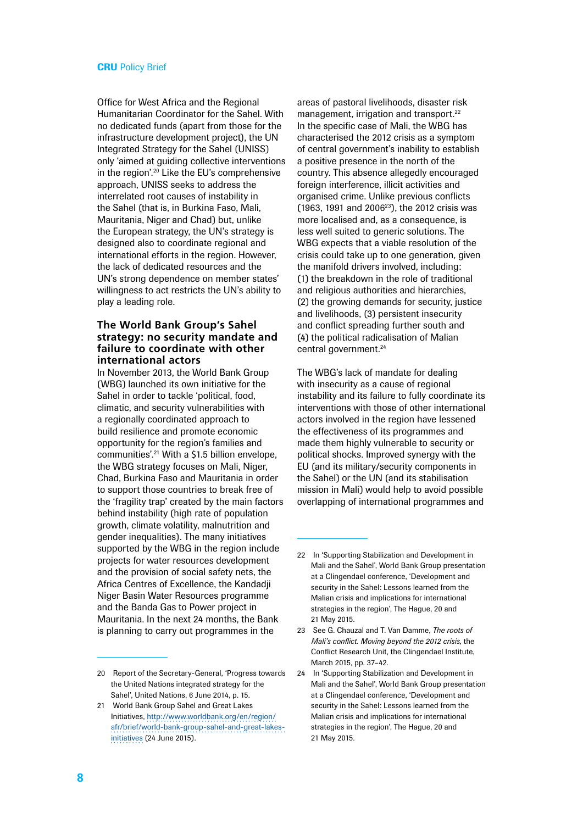Office for West Africa and the Regional Humanitarian Coordinator for the Sahel. With no dedicated funds (apart from those for the infrastructure development project), the UN Integrated Strategy for the Sahel (UNISS) only 'aimed at guiding collective interventions in the region'.20 Like the EU's comprehensive approach, UNISS seeks to address the interrelated root causes of instability in the Sahel (that is, in Burkina Faso, Mali, Mauritania, Niger and Chad) but, unlike the European strategy, the UN's strategy is designed also to coordinate regional and international efforts in the region. However, the lack of dedicated resources and the UN's strong dependence on member states' willingness to act restricts the UN's ability to play a leading role.

#### **The World Bank Group's Sahel strategy: no security mandate and failure to coordinate with other international actors**

In November 2013, the World Bank Group (WBG) launched its own initiative for the Sahel in order to tackle 'political, food, climatic, and security vulnerabilities with a regionally coordinated approach to build resilience and promote economic opportunity for the region's families and communities'.21 With a \$1.5 billion envelope, the WBG strategy focuses on Mali, Niger, Chad, Burkina Faso and Mauritania in order to support those countries to break free of the 'fragility trap' created by the main factors behind instability (high rate of population growth, climate volatility, malnutrition and gender inequalities). The many initiatives supported by the WBG in the region include projects for water resources development and the provision of social safety nets, the Africa Centres of Excellence, the Kandadji Niger Basin Water Resources programme and the Banda Gas to Power project in Mauritania. In the next 24 months, the Bank is planning to carry out programmes in the

areas of pastoral livelihoods, disaster risk management, irrigation and transport.<sup>22</sup> In the specific case of Mali, the WBG has characterised the 2012 crisis as a symptom of central government's inability to establish a positive presence in the north of the country. This absence allegedly encouraged foreign interference, illicit activities and organised crime. Unlike previous conflicts (1963, 1991 and 2006 $^{23}$ ), the 2012 crisis was more localised and, as a consequence, is less well suited to generic solutions. The WBG expects that a viable resolution of the crisis could take up to one generation, given the manifold drivers involved, including: (1) the breakdown in the role of traditional and religious authorities and hierarchies, (2) the growing demands for security, justice and livelihoods, (3) persistent insecurity and conflict spreading further south and (4) the political radicalisation of Malian central government.24

The WBG's lack of mandate for dealing with insecurity as a cause of regional instability and its failure to fully coordinate its interventions with those of other international actors involved in the region have lessened the effectiveness of its programmes and made them highly vulnerable to security or political shocks. Improved synergy with the EU (and its military/security components in the Sahel) or the UN (and its stabilisation mission in Mali) would help to avoid possible overlapping of international programmes and

<sup>20</sup> Report of the Secretary-General, 'Progress towards the United Nations integrated strategy for the Sahel', United Nations, 6 June 2014, p. 15.

<sup>21</sup> World Bank Group Sahel and Great Lakes Initiatives, [http://www.worldbank.org/en/region/](http://www.worldbank.org/en/region/afr/brief/world-bank-group-sahel-and-great-lakes-initiatives) [afr/brief/world-bank-group-sahel-and-great-lakes](http://www.worldbank.org/en/region/afr/brief/world-bank-group-sahel-and-great-lakes-initiatives)[initiatives \(24](http://www.worldbank.org/en/region/afr/brief/world-bank-group-sahel-and-great-lakes-initiatives) June 2015).

<sup>22</sup> In 'Supporting Stabilization and Development in Mali and the Sahel', World Bank Group presentation at a Clingendael conference, 'Development and security in the Sahel: Lessons learned from the Malian crisis and implications for international strategies in the region', The Hague, 20 and 21 May 2015.

<sup>23</sup> See G. Chauzal and T. Van Damme, *The roots of Mali's conflict. Moving beyond the 2012 crisis*, the Conflict Research Unit, the Clingendael Institute, March 2015, pp. 37–42.

<sup>24</sup> In 'Supporting Stabilization and Development in Mali and the Sahel', World Bank Group presentation at a Clingendael conference, 'Development and security in the Sahel: Lessons learned from the Malian crisis and implications for international strategies in the region', The Hague, 20 and 21 May 2015.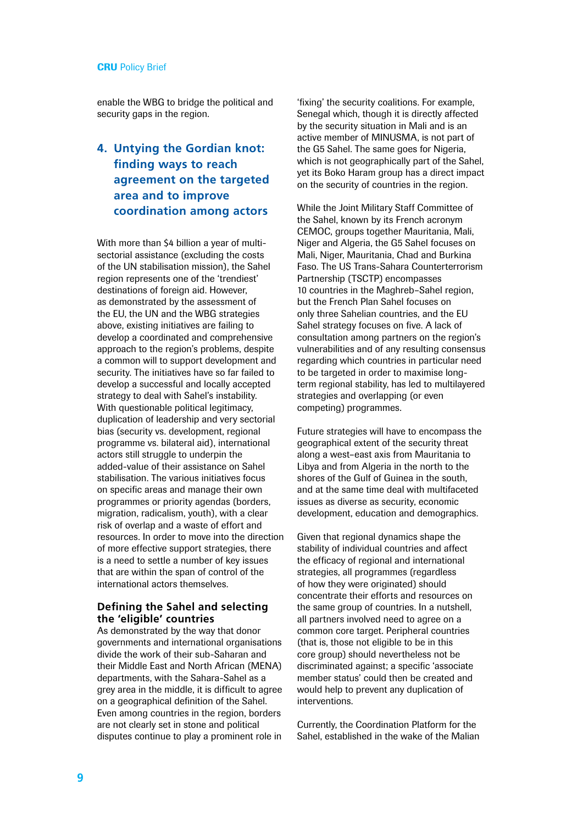enable the WBG to bridge the political and security gaps in the region.

# **4. Untying the Gordian knot: finding ways to reach agreement on the targeted area and to improve coordination among actors**

With more than \$4 billion a year of multisectorial assistance (excluding the costs of the UN stabilisation mission), the Sahel region represents one of the 'trendiest' destinations of foreign aid. However, as demonstrated by the assessment of the EU, the UN and the WBG strategies above, existing initiatives are failing to develop a coordinated and comprehensive approach to the region's problems, despite a common will to support development and security. The initiatives have so far failed to develop a successful and locally accepted strategy to deal with Sahel's instability. With questionable political legitimacy, duplication of leadership and very sectorial bias (security vs. development, regional programme vs. bilateral aid), international actors still struggle to underpin the added-value of their assistance on Sahel stabilisation. The various initiatives focus on specific areas and manage their own programmes or priority agendas (borders, migration, radicalism, youth), with a clear risk of overlap and a waste of effort and resources. In order to move into the direction of more effective support strategies, there is a need to settle a number of key issues that are within the span of control of the international actors themselves.

#### **Defining the Sahel and selecting the 'eligible' countries**

As demonstrated by the way that donor governments and international organisations divide the work of their sub-Saharan and their Middle East and North African (MENA) departments, with the Sahara-Sahel as a grey area in the middle, it is difficult to agree on a geographical definition of the Sahel. Even among countries in the region, borders are not clearly set in stone and political disputes continue to play a prominent role in 'fixing' the security coalitions. For example, Senegal which, though it is directly affected by the security situation in Mali and is an active member of MINUSMA, is not part of the G5 Sahel. The same goes for Nigeria, which is not geographically part of the Sahel, yet its Boko Haram group has a direct impact on the security of countries in the region.

While the Joint Military Staff Committee of the Sahel, known by its French acronym CEMOC, groups together Mauritania, Mali, Niger and Algeria, the G5 Sahel focuses on Mali, Niger, Mauritania, Chad and Burkina Faso. The US Trans-Sahara Counterterrorism Partnership (TSCTP) encompasses 10 countries in the Maghreb–Sahel region, but the French Plan Sahel focuses on only three Sahelian countries, and the EU Sahel strategy focuses on five. A lack of consultation among partners on the region's vulnerabilities and of any resulting consensus regarding which countries in particular need to be targeted in order to maximise longterm regional stability, has led to multilayered strategies and overlapping (or even competing) programmes.

Future strategies will have to encompass the geographical extent of the security threat along a west–east axis from Mauritania to Libya and from Algeria in the north to the shores of the Gulf of Guinea in the south, and at the same time deal with multifaceted issues as diverse as security, economic development, education and demographics.

Given that regional dynamics shape the stability of individual countries and affect the efficacy of regional and international strategies, all programmes (regardless of how they were originated) should concentrate their efforts and resources on the same group of countries. In a nutshell, all partners involved need to agree on a common core target. Peripheral countries (that is, those not eligible to be in this core group) should nevertheless not be discriminated against; a specific 'associate member status' could then be created and would help to prevent any duplication of interventions.

Currently, the Coordination Platform for the Sahel, established in the wake of the Malian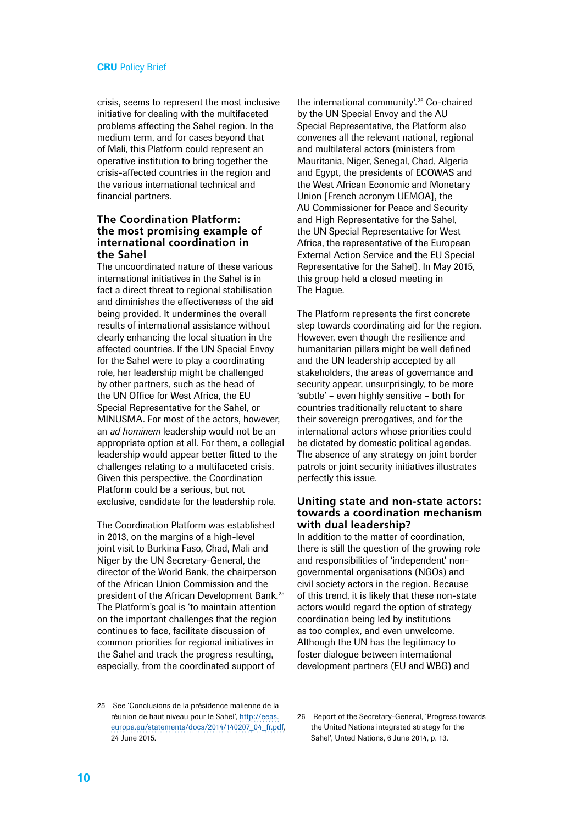crisis, seems to represent the most inclusive initiative for dealing with the multifaceted problems affecting the Sahel region. In the medium term, and for cases beyond that of Mali, this Platform could represent an operative institution to bring together the crisis-affected countries in the region and the various international technical and financial partners.

#### **The Coordination Platform: the most promising example of international coordination in the Sahel**

The uncoordinated nature of these various international initiatives in the Sahel is in fact a direct threat to regional stabilisation and diminishes the effectiveness of the aid being provided. It undermines the overall results of international assistance without clearly enhancing the local situation in the affected countries. If the UN Special Envoy for the Sahel were to play a coordinating role, her leadership might be challenged by other partners, such as the head of the UN Office for West Africa, the EU Special Representative for the Sahel, or MINUSMA. For most of the actors, however, an *ad hominem* leadership would not be an appropriate option at all. For them, a collegial leadership would appear better fitted to the challenges relating to a multifaceted crisis. Given this perspective, the Coordination Platform could be a serious, but not exclusive, candidate for the leadership role.

The Coordination Platform was established in 2013, on the margins of a high-level joint visit to Burkina Faso, Chad, Mali and Niger by the UN Secretary-General, the director of the World Bank, the chairperson of the African Union Commission and the president of the African Development Bank.25 The Platform's goal is 'to maintain attention on the important challenges that the region continues to face, facilitate discussion of common priorities for regional initiatives in the Sahel and track the progress resulting, especially, from the coordinated support of

the international community'.<sup>26</sup> Co-chaired by the UN Special Envoy and the AU Special Representative, the Platform also convenes all the relevant national, regional and multilateral actors (ministers from Mauritania, Niger, Senegal, Chad, Algeria and Egypt, the presidents of ECOWAS and the West African Economic and Monetary Union [French acronym UEMOA], the AU Commissioner for Peace and Security and High Representative for the Sahel, the UN Special Representative for West Africa, the representative of the European External Action Service and the EU Special Representative for the Sahel). In May 2015, this group held a closed meeting in The Hague.

The Platform represents the first concrete step towards coordinating aid for the region. However, even though the resilience and humanitarian pillars might be well defined and the UN leadership accepted by all stakeholders, the areas of governance and security appear, unsurprisingly, to be more 'subtle' – even highly sensitive – both for countries traditionally reluctant to share their sovereign prerogatives, and for the international actors whose priorities could be dictated by domestic political agendas. The absence of any strategy on joint border patrols or joint security initiatives illustrates perfectly this issue.

#### **Uniting state and non-state actors: towards a coordination mechanism with dual leadership?**

In addition to the matter of coordination, there is still the question of the growing role and responsibilities of 'independent' nongovernmental organisations (NGOs) and civil society actors in the region. Because of this trend, it is likely that these non-state actors would regard the option of strategy coordination being led by institutions as too complex, and even unwelcome. Although the UN has the legitimacy to foster dialogue between international development partners (EU and WBG) and

<sup>25</sup> See 'Conclusions de la présidence malienne de la réunion de haut niveau pour le Sahel', [http://eeas.](http://eeas.europa.eu/statements/docs/2014/140207_04_fr.pdf) [europa.eu/statements/docs/2014/140207\\_04\\_fr.pdf,](http://eeas.europa.eu/statements/docs/2014/140207_04_fr.pdf) 24 June 2015.

<sup>26</sup> Report of the Secretary-General, 'Progress towards the United Nations integrated strategy for the Sahel', Unted Nations, 6 June 2014, p. 13.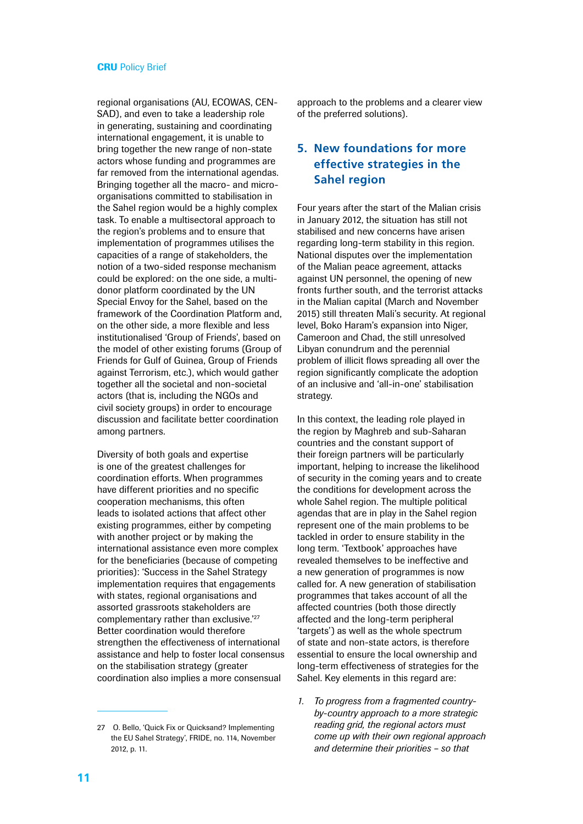regional organisations (AU, ECOWAS, CEN-SAD), and even to take a leadership role in generating, sustaining and coordinating international engagement, it is unable to bring together the new range of non-state actors whose funding and programmes are far removed from the international agendas. Bringing together all the macro- and microorganisations committed to stabilisation in the Sahel region would be a highly complex task. To enable a multisectoral approach to the region's problems and to ensure that implementation of programmes utilises the capacities of a range of stakeholders, the notion of a two-sided response mechanism could be explored: on the one side, a multidonor platform coordinated by the UN Special Envoy for the Sahel, based on the framework of the Coordination Platform and, on the other side, a more flexible and less institutionalised 'Group of Friends', based on the model of other existing forums (Group of Friends for Gulf of Guinea, Group of Friends against Terrorism, etc.), which would gather together all the societal and non-societal actors (that is, including the NGOs and civil society groups) in order to encourage discussion and facilitate better coordination among partners.

Diversity of both goals and expertise is one of the greatest challenges for coordination efforts. When programmes have different priorities and no specific cooperation mechanisms, this often leads to isolated actions that affect other existing programmes, either by competing with another project or by making the international assistance even more complex for the beneficiaries (because of competing priorities): 'Success in the Sahel Strategy implementation requires that engagements with states, regional organisations and assorted grassroots stakeholders are complementary rather than exclusive.<sup>'27</sup> Better coordination would therefore strengthen the effectiveness of international assistance and help to foster local consensus on the stabilisation strategy (greater coordination also implies a more consensual

27 O. Bello, 'Quick Fix or Quicksand? Implementing the EU Sahel Strategy', FRIDE, no. 114, November 2012, p. 11.

approach to the problems and a clearer view of the preferred solutions).

# **5. New foundations for more effective strategies in the Sahel region**

Four years after the start of the Malian crisis in January 2012, the situation has still not stabilised and new concerns have arisen regarding long-term stability in this region. National disputes over the implementation of the Malian peace agreement, attacks against UN personnel, the opening of new fronts further south, and the terrorist attacks in the Malian capital (March and November 2015) still threaten Mali's security. At regional level, Boko Haram's expansion into Niger, Cameroon and Chad, the still unresolved Libyan conundrum and the perennial problem of illicit flows spreading all over the region significantly complicate the adoption of an inclusive and 'all-in-one' stabilisation strategy.

In this context, the leading role played in the region by Maghreb and sub-Saharan countries and the constant support of their foreign partners will be particularly important, helping to increase the likelihood of security in the coming years and to create the conditions for development across the whole Sahel region. The multiple political agendas that are in play in the Sahel region represent one of the main problems to be tackled in order to ensure stability in the long term. 'Textbook' approaches have revealed themselves to be ineffective and a new generation of programmes is now called for. A new generation of stabilisation programmes that takes account of all the affected countries (both those directly affected and the long-term peripheral 'targets') as well as the whole spectrum of state and non-state actors, is therefore essential to ensure the local ownership and long-term effectiveness of strategies for the Sahel. Key elements in this regard are:

*1. To progress from a fragmented countryby-country approach to a more strategic reading grid, the regional actors must come up with their own regional approach and determine their priorities – so that*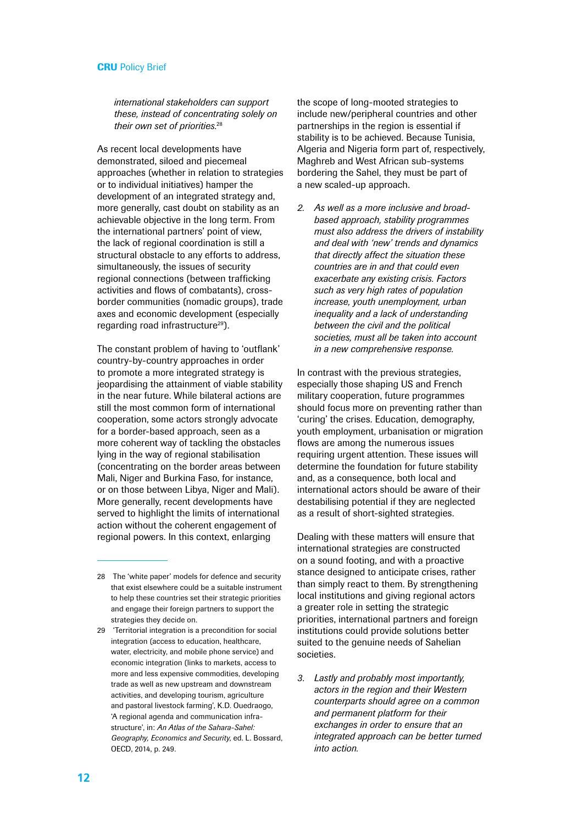*international stakeholders can support these, instead of concentrating solely on their own set of priorities.*<sup>28</sup>

As recent local developments have demonstrated, siloed and piecemeal approaches (whether in relation to strategies or to individual initiatives) hamper the development of an integrated strategy and, more generally, cast doubt on stability as an achievable objective in the long term. From the international partners' point of view, the lack of regional coordination is still a structural obstacle to any efforts to address, simultaneously, the issues of security regional connections (between trafficking activities and flows of combatants), crossborder communities (nomadic groups), trade axes and economic development (especially regarding road infrastructure<sup>29</sup>).

The constant problem of having to 'outflank' country-by-country approaches in order to promote a more integrated strategy is jeopardising the attainment of viable stability in the near future. While bilateral actions are still the most common form of international cooperation, some actors strongly advocate for a border-based approach, seen as a more coherent way of tackling the obstacles lying in the way of regional stabilisation (concentrating on the border areas between Mali, Niger and Burkina Faso, for instance, or on those between Libya, Niger and Mali). More generally, recent developments have served to highlight the limits of international action without the coherent engagement of regional powers. In this context, enlarging

the scope of long-mooted strategies to include new/peripheral countries and other partnerships in the region is essential if stability is to be achieved. Because Tunisia, Algeria and Nigeria form part of, respectively, Maghreb and West African sub-systems bordering the Sahel, they must be part of a new scaled-up approach.

*2. As well as a more inclusive and broadbased approach, stability programmes must also address the drivers of instability and deal with 'new' trends and dynamics that directly affect the situation these countries are in and that could even exacerbate any existing crisis. Factors such as very high rates of population increase, youth unemployment, urban inequality and a lack of understanding between the civil and the political societies, must all be taken into account in a new comprehensive response.*

In contrast with the previous strategies, especially those shaping US and French military cooperation, future programmes should focus more on preventing rather than 'curing' the crises. Education, demography, youth employment, urbanisation or migration flows are among the numerous issues requiring urgent attention. These issues will determine the foundation for future stability and, as a consequence, both local and international actors should be aware of their destabilising potential if they are neglected as a result of short-sighted strategies.

Dealing with these matters will ensure that international strategies are constructed on a sound footing, and with a proactive stance designed to anticipate crises, rather than simply react to them. By strengthening local institutions and giving regional actors a greater role in setting the strategic priorities, international partners and foreign institutions could provide solutions better suited to the genuine needs of Sahelian societies.

*3. Lastly and probably most importantly, actors in the region and their Western counterparts should agree on a common and permanent platform for their exchanges in order to ensure that an integrated approach can be better turned into action.*

<sup>28</sup> The 'white paper' models for defence and security that exist elsewhere could be a suitable instrument to help these countries set their strategic priorities and engage their foreign partners to support the strategies they decide on.

<sup>29 &#</sup>x27;Territorial integration is a precondition for social integration (access to education, healthcare, water, electricity, and mobile phone service) and economic integration (links to markets, access to more and less expensive commodities, developing trade as well as new upstream and downstream activities, and developing tourism, agriculture and pastoral livestock farming', K.D. Ouedraogo, 'A regional agenda and communication infrastructure', in: *An Atlas of the Sahara-Sahel: Geography, Economics and Security*, ed. L. Bossard, OECD, 2014, p. 249.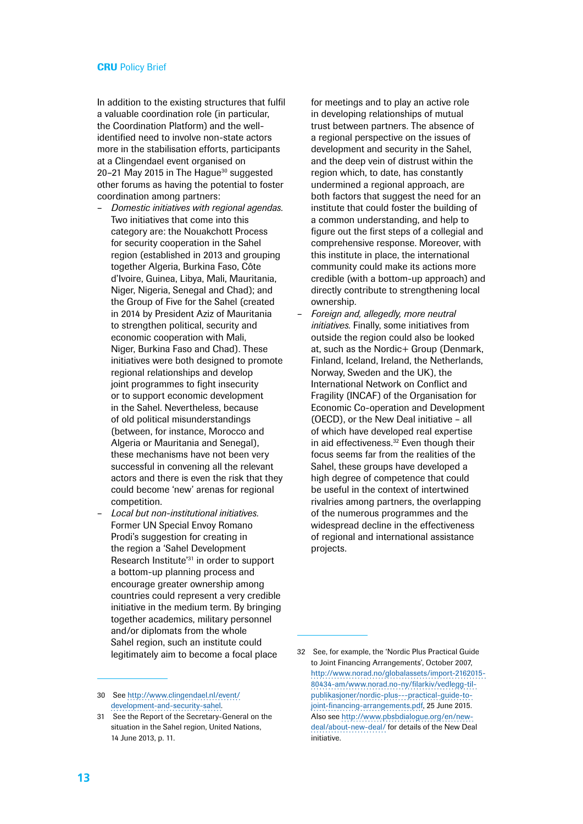In addition to the existing structures that fulfil a valuable coordination role (in particular, the Coordination Platform) and the wellidentified need to involve non-state actors more in the stabilisation efforts, participants at a Clingendael event organised on 20-21 May 2015 in The Hague<sup>30</sup> suggested other forums as having the potential to foster coordination among partners:

- *Domestic initiatives with regional agendas.*  Two initiatives that come into this category are: the Nouakchott Process for security cooperation in the Sahel region (established in 2013 and grouping together Algeria, Burkina Faso, Côte d'Ivoire, Guinea, Libya, Mali, Mauritania, Niger, Nigeria, Senegal and Chad); and the Group of Five for the Sahel (created in 2014 by President Aziz of Mauritania to strengthen political, security and economic cooperation with Mali, Niger, Burkina Faso and Chad). These initiatives were both designed to promote regional relationships and develop joint programmes to fight insecurity or to support economic development in the Sahel. Nevertheless, because of old political misunderstandings (between, for instance, Morocco and Algeria or Mauritania and Senegal). these mechanisms have not been very successful in convening all the relevant actors and there is even the risk that they could become 'new' arenas for regional competition.
- *Local but non-institutional initiatives.* Former UN Special Envoy Romano Prodi's suggestion for creating in the region a 'Sahel Development Research Institute'31 in order to support a bottom-up planning process and encourage greater ownership among countries could represent a very credible initiative in the medium term. By bringing together academics, military personnel and/or diplomats from the whole Sahel region, such an institute could legitimately aim to become a focal place

for meetings and to play an active role in developing relationships of mutual trust between partners. The absence of a regional perspective on the issues of development and security in the Sahel, and the deep vein of distrust within the region which, to date, has constantly undermined a regional approach, are both factors that suggest the need for an institute that could foster the building of a common understanding, and help to figure out the first steps of a collegial and comprehensive response. Moreover, with this institute in place, the international community could make its actions more credible (with a bottom-up approach) and directly contribute to strengthening local ownership.

– *Foreign and, allegedly, more neutral initiatives.* Finally, some initiatives from outside the region could also be looked at, such as the Nordic+ Group (Denmark, Finland, Iceland, Ireland, the Netherlands, Norway, Sweden and the UK), the International Network on Conflict and Fragility (INCAF) of the Organisation for Economic Co-operation and Development (OECD), or the New Deal initiative – all of which have developed real expertise in aid effectiveness.<sup>32</sup> Even though their focus seems far from the realities of the Sahel, these groups have developed a high degree of competence that could be useful in the context of intertwined rivalries among partners, the overlapping of the numerous programmes and the widespread decline in the effectiveness of regional and international assistance projects.

<sup>30</sup> See [http://www.clingendael.nl/event/](http://www.clingendael.nl/event/development-and-security-sahel) [development-and-security-sahel.](http://www.clingendael.nl/event/development-and-security-sahel)

<sup>31</sup> See the Report of the Secretary-General on the situation in the Sahel region, United Nations, 14 June 2013, p. 11.

<sup>32</sup> See, for example, the 'Nordic Plus Practical Guide to Joint Financing Arrangements', October 2007, [http://www.norad.no/globalassets/import-2162015-](http://www.norad.no/globalassets/import-2162015-80434-am/www.norad.no-ny/filarkiv/vedlegg-til-publikasjoner/nordic-plus---practical-guide-to-joint-financing-arrangements.pdf) [80434-am/www.norad.no-ny/filarkiv/vedlegg-til](http://www.norad.no/globalassets/import-2162015-80434-am/www.norad.no-ny/filarkiv/vedlegg-til-publikasjoner/nordic-plus---practical-guide-to-joint-financing-arrangements.pdf)[publikasjoner/nordic-plus---practical-guide-to](http://www.norad.no/globalassets/import-2162015-80434-am/www.norad.no-ny/filarkiv/vedlegg-til-publikasjoner/nordic-plus---practical-guide-to-joint-financing-arrangements.pdf)[joint-financing-arrangements.pdf](http://www.norad.no/globalassets/import-2162015-80434-am/www.norad.no-ny/filarkiv/vedlegg-til-publikasjoner/nordic-plus---practical-guide-to-joint-financing-arrangements.pdf), 25 June 2015. Also see [http://www.pbsbdialogue.org/en/new](http://www.pbsbdialogue.org/en/new-deal/about-new-deal/)[deal/about-new-deal/](http://www.pbsbdialogue.org/en/new-deal/about-new-deal/) for details of the New Deal initiative.